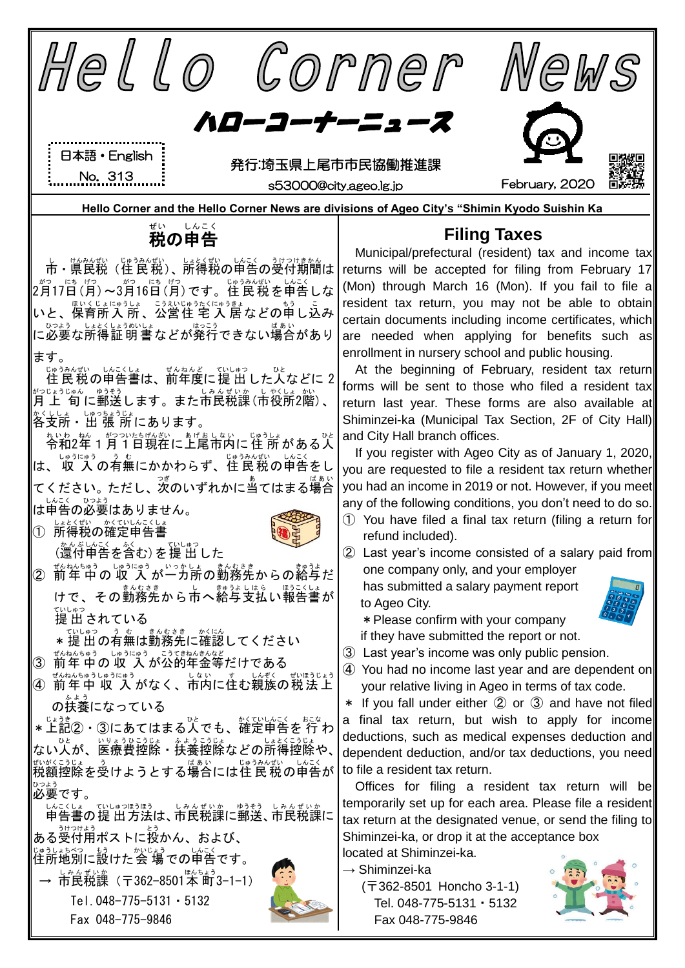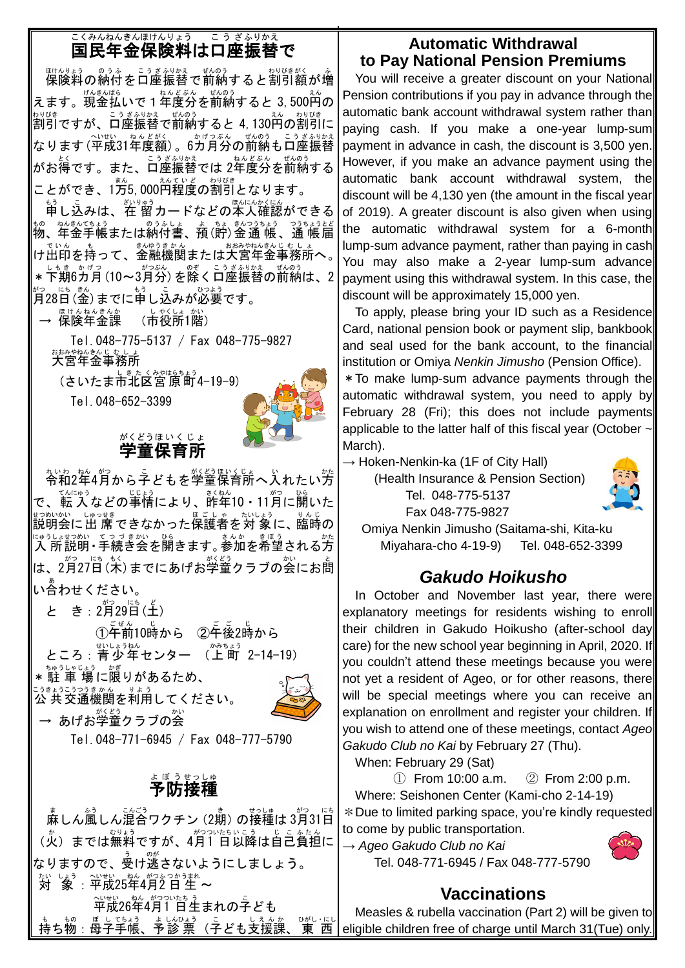#### 国民年金保険料は口座振替で こくみん ねんきん ほけんりょう こうざ ふりかえ

脚裂綺の納付を口座振替で前納すると割引額が増 えます。現金払いで1年度分を前納すると 3,500<sup>えん</sup>の \*シ<sup>ロぴき</sup> です。 こうざ<u>ミシ</u>タカミ でものう<br>割引ですが、口座振替で前納すると 4, 130円の割引に なります (平成31年度額) 。6ガ月分の前納も口座振替 がお得です。また、ロ座振替では 2年度分を前納する ことができ、1万5,000<sup>えていど、おりびき</sup><br>ことができ、1万5,000円程度の割引となります。

もう<br>申し込みは、在 留カードなどの本人確認ができる <u>もの、ねんさんよう。のうふしょう。おくさんつうちょう。つうちょうとど</u><br>物、年金手帳または納付書、預(貯)金通 帳 、通 帳届 け出印 でいん を持 も って、金融 きんゆう 機関 きかん または大宮 おおみや 年金 ねんきん 事務所 じむしょ へ。 \* 下期6カ月(10~3月分)を除く口座振替の前納は、2 \*♡ にも。<br>月28日(金)までに申し込みが必要です。

— <sup>ほゖんねんきんか</sup><br>→ 保険年金課 (市役所1階)<br>

Tel.048-775-5137 / Fax 048-775-9827 ぉぉぁゃぉんきんじ もしょ<br>**大宮年金事務所** 

(さいたま市北区宮 原 町4−19−9) Tel.048-652-3399



#### 学童 保育所 がくどう ほ い く じ ょ

\*いゎ \*☆ \*^;<br>令和2年4月から子どもを学童保育所へ入れたい方 で、転入などの事情により、詐牟10・11月に開いた ま。<br>説明会に出 席 できなかった保護者を対 象に、臨時の にゅうしょせつめい てつづきがい ひら あいか きょう あいたたい かたいせつめい てつづきかい ひら しゅうちょせつめい たた は、2月27日(木)までにあげお学童クラブの会にお蔄 い合 あ わせください。

と き: 2月29日(土) ①千前10時から ②千後2時から

ところ : 青少年センター (上町 2-14-19)

\*駐 車 場に限りがあるため、

— あげお学童クラブの会

<u>こうきょうこう</u>つきゕん<br>公 共交通機関を利用してください。



Tel.048-771-6945 / Fax 048-777-5790

#### 予防 接種 よ ぼ う せっしゅ

i<br>L

 麻 ま しん風 ふう しん混合 こんごう ワクチン(2期 き )の接種 せっしゅ は 3月 がつ 31日 にち (火)までは無料ですが、4月1 日以降は自己負担に なりますので、受け逃さないようにしましょう。 たい しょう 〜、せい ねん がつふつかうまれ<br>**対 象** : **平成25年4月2 日 生 〜** 平成 へいせい 26年 ねん 4月 がつ 1 日 ついたち 生 う まれの子 こ ども まぁ。<br>持ち物:母子手帳、予診 票(子ども支援課 、<sup>"がし・にし</sup>

### **Automatic Withdrawal to Pay National Pension Premiums**

You will receive a greater discount on your National Pension contributions if you pay in advance through the automatic bank account withdrawal system rather than paying cash. If you make a one-year lump-sum payment in advance in cash, the discount is 3,500 yen. However, if you make an advance payment using the automatic bank account withdrawal system, the discount will be 4,130 yen (the amount in the fiscal year of 2019). A greater discount is also given when using the automatic withdrawal system for a 6-month lump-sum advance payment, rather than paying in cash You may also make a 2-year lump-sum advance payment using this withdrawal system. In this case, the discount will be approximately 15,000 yen.

To apply, please bring your ID such as a Residence Card, national pension book or payment slip, bankbook and seal used for the bank account, to the financial institution or Omiya *Nenkin Jimusho* (Pension Office).

\*To make lump-sum advance payments through the automatic withdrawal system, you need to apply by February 28 (Fri); this does not include payments applicable to the latter half of this fiscal year (October -March).

 $\rightarrow$  Hoken-Nenkin-ka (1F of City Hall)

(Health Insurance & Pension Section) Tel. 048-775-5137 Fax 048-775-9827



Omiya Nenkin Jimusho (Saitama-shi, Kita-ku Miyahara-cho 4-19-9) Tel. 048-652-3399

# *Gakudo Hoikusho*

In October and November last year, there were explanatory meetings for residents wishing to enroll their children in Gakudo Hoikusho (after-school day care) for the new school year beginning in April, 2020. If you couldn't attend these meetings because you were not yet a resident of Ageo, or for other reasons, there will be special meetings where you can receive an explanation on enrollment and register your children. If you wish to attend one of these meetings, contact *Ageo Gakudo Club no Kai* by February 27 (Thu).

When: February 29 (Sat)

① From 10:00 a.m. ② From 2:00 p.m. Where: Seishonen Center (Kami-cho 2-14-19) \*Due to limited parking space, you're kindly requested to come by public transportation.

→ *Ageo Gakudo Club no Kai* Tel. 048-771-6945 / Fax 048-777-5790

# **Vaccinations**

Measles & rubella vaccination (Part 2) will be given to eligible children free of charge until March 31(Tue) only.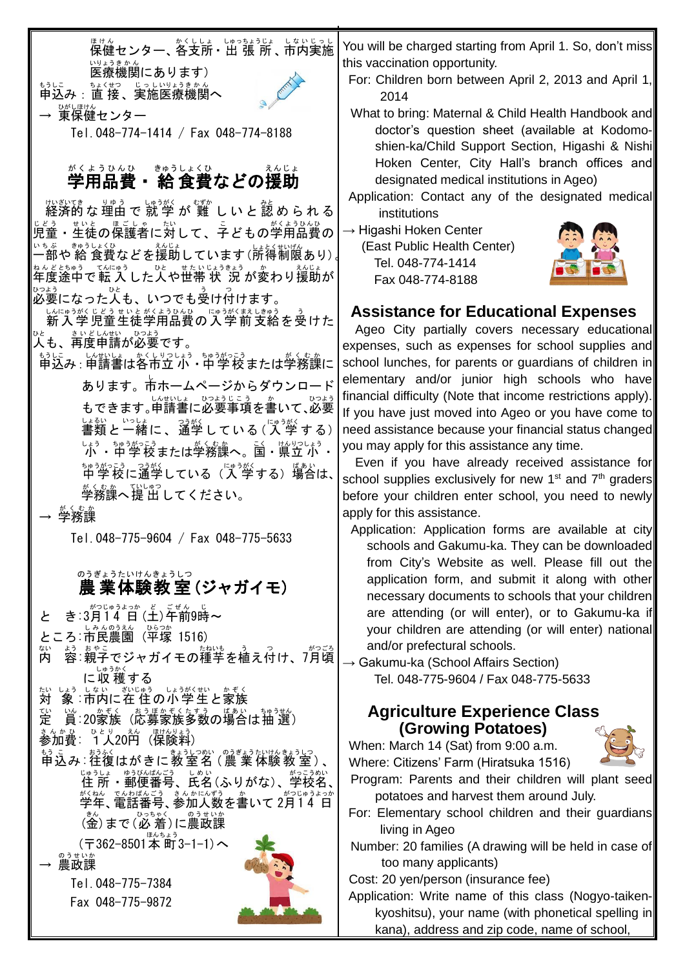<sub>ほけん</sub><br>保健センター、各支所・出 張 所 、市内実施 。<sub>いょうきかん</sub><br>医療機関にあります)

もうしこ<br>申込み : 直 接 、実施医療機関へ → <sup>びじほけん</sup><br>→ 東保健センター

Tel.048-774-1414 / Fax 048-774-8188

# <u>がくようひんひ、まゆうしょくひ。</u><br>**学用品費・給 食費などの援助**

<sub>ばかでき</sub><br>経済的な理由で 就 学 が 難 しいと認められる 。。。<br>児童・生徒の保護者に対して、子どもの学用品費の 一部 いちぶ や 給 きゅう 食費 しょくひ などを援助 えんじょ しています(所得 しょとく 制限 せいげん あり)。 キヘヒヒミャッ ෭ミヒャッ したいヒュッッォ ショ が変わり援助が 。。。<br>必要になった人も、いつでも受け付けます。

しんにゅうがく じどう せいと がくまいきょう きっとう きょう きょうせいとがくようひんひょうがく じどう せいとがくようひんひ <u>ve きいどしんせい</u> ひっよう<br>人も、再度申請が必要です。

もぅしこ いむしょ ゕくいっしょぅ ゅうがっこぅ<br>申込み : 申請書は各市立 小・中 学 校 または学務課に

**あります。市ホームページからダウンロード** もできます。申請書に必要事項を書いて、必要 しょ。<br>書類と一緒に、通学している(入学する) └ょぅ‐ ホッ ¾っ!?。または学務課へ。≦↓ じゃ? じょぅ・ 中学校 ちゅうがっこう に通学 つうがく している(入 学 にゅうがく する)場合 ばあい は、 <u>。</u><br>学務課へ提 出してください。

→ 学務課 がくむか

Tel.048-775-9604 / Fax 048-775-5633

#### 農 業体験教 室 (ジャガイモ) のうぎょう たいけん きょうしつ

- と き:3月14 目 (土) 年前9時~
- ところ:市民農園 (平塚 1516)
- 内 ない <u>。。。。</u><br>容:親子でジャガイモの種芋を植え付け、7月頃 に収 穫 する しゅうかく

対 たい しょう。」ない、説はう。かぞく<br>「象:市内に在住の小学生と家族

定 てい |当:20家族 〈応募家族多数の場合は抽 選〉

まんか <u>ひょり</u><br>参加費: 1人20円(保険料)

<sub>もう こ</sub> おふく<br>申込み:往復はがきに教室名 (農 業体験教 室)、 ◎□☆ ・◎□◎(称三) ◎○○◎ 、◎□◎◎、|<br>住 所 ・郵便番号、氏名(ふりがな)、学校名、| 学年 がくねん 、電話番号 でんわばんごう 、参加 さんか 人数 にんずう を書 か いて 2月 がつ 1 4 日 じゅうよっか

(金)まで (必 着 )に農政課 (〒362-8501本 町 ほんちょう 3-1-1)へ

農政課 のうせいか

> Tel.048-775-7384 Fax 048-775-9872



You will be charged starting from April 1. So, don't miss this vaccination opportunity.

- For: Children born between April 2, 2013 and April 1, 2014
- What to bring: Maternal & Child Health Handbook and doctor's question sheet (available at Kodomoshien-ka/Child Support Section, Higashi & Nishi Hoken Center, City Hall's branch offices and designated medical institutions in Ageo)
- Application: Contact any of the designated medical institutions

→ Higashi Hoken Center

(East Public Health Center) Tel. 048-774-1414 Fax 048-774-8188



### **Assistance for Educational Expenses**

Ageo City partially covers necessary educational expenses, such as expenses for school supplies and school lunches, for parents or quardians of children in elementary and/or junior high schools who have financial difficulty (Note that income restrictions apply). If you have just moved into Ageo or you have come to need assistance because your financial status changed, you may apply for this assistance any time.

Even if you have already received assistance for school supplies exclusively for new  $1<sup>st</sup>$  and  $7<sup>th</sup>$  graders before your children enter school, you need to newly apply for this assistance.

- Application: Application forms are available at city schools and Gakumu-ka. They can be downloaded from City's Website as well. Please fill out the application form, and submit it along with other necessary documents to schools that your children are attending (or will enter), or to Gakumu-ka if your children are attending (or will enter) national and/or prefectural schools.
- $\rightarrow$  Gakumu-ka (School Affairs Section) Tel. 048-775-9604 / Fax 048-775-5633

# **Agriculture Experience Class (Growing Potatoes)**

When: March 14 (Sat) from 9:00 a.m. Where: Citizens' Farm (Hiratsuka 1516)



Program: Parents and their children will plant seed potatoes and harvest them around July.

For: Elementary school children and their guardians living in Ageo

Number: 20 families (A drawing will be held in case of too many applicants)

Cost: 20 yen/person (insurance fee)

Application: Write name of this class (Nogyo-taikenkyoshitsu), your name (with phonetical spelling in kana), address and zip code, name of school,